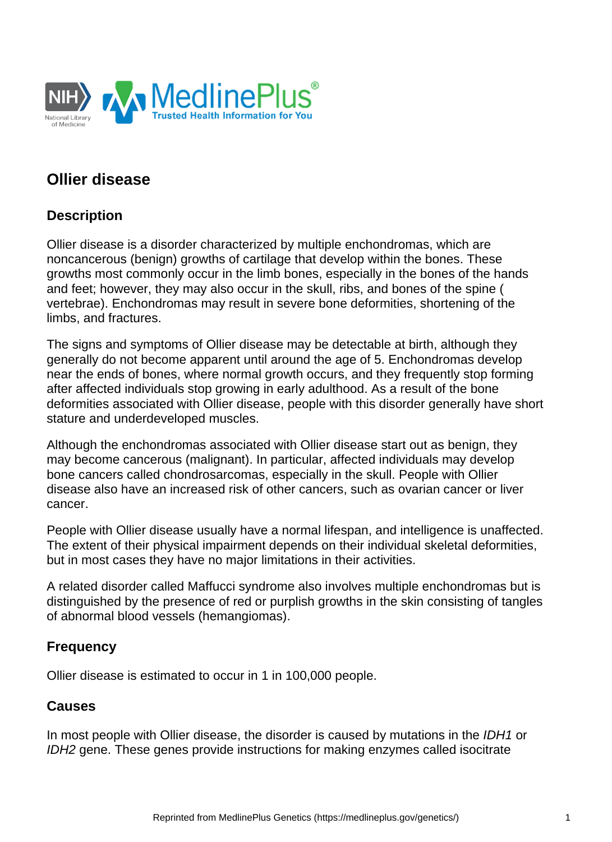

# **Ollier disease**

# **Description**

Ollier disease is a disorder characterized by multiple enchondromas, which are noncancerous (benign) growths of cartilage that develop within the bones. These growths most commonly occur in the limb bones, especially in the bones of the hands and feet; however, they may also occur in the skull, ribs, and bones of the spine ( vertebrae). Enchondromas may result in severe bone deformities, shortening of the limbs, and fractures.

The signs and symptoms of Ollier disease may be detectable at birth, although they generally do not become apparent until around the age of 5. Enchondromas develop near the ends of bones, where normal growth occurs, and they frequently stop forming after affected individuals stop growing in early adulthood. As a result of the bone deformities associated with Ollier disease, people with this disorder generally have short stature and underdeveloped muscles.

Although the enchondromas associated with Ollier disease start out as benign, they may become cancerous (malignant). In particular, affected individuals may develop bone cancers called chondrosarcomas, especially in the skull. People with Ollier disease also have an increased risk of other cancers, such as [ovarian cancer](https://medlineplus.gov/genetics/condition/ovarian-cancer/) or liver cancer.

People with Ollier disease usually have a normal lifespan, and intelligence is unaffected. The extent of their physical impairment depends on their individual skeletal deformities, but in most cases they have no major limitations in their activities.

A related disorder called [Maffucci syndrome](https://medlineplus.gov/genetics/condition/maffucci-syndrome/) also involves multiple enchondromas but is distinguished by the presence of red or purplish growths in the skin consisting of tangles of abnormal blood vessels (hemangiomas).

### **Frequency**

Ollier disease is estimated to occur in 1 in 100,000 people.

### **Causes**

In most people with Ollier disease, the disorder is caused by mutations in the *[IDH1](https://medlineplus.gov/genetics/gene/idh1/)* or [IDH2](https://medlineplus.gov/genetics/gene/idh2/) gene. These genes provide instructions for making enzymes called isocitrate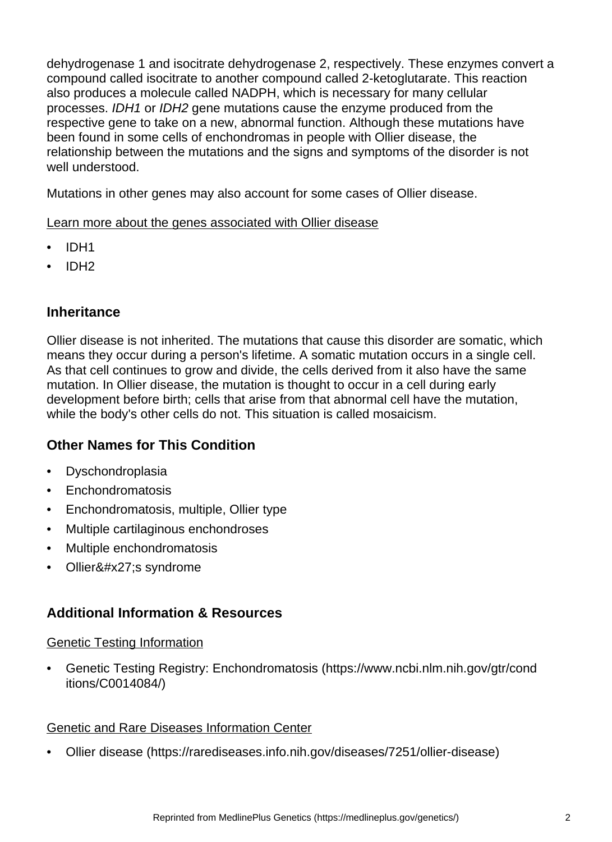dehydrogenase 1 and isocitrate dehydrogenase 2, respectively. These enzymes convert a compound called isocitrate to another compound called 2-ketoglutarate. This reaction also produces a molecule called NADPH, which is necessary for many cellular processes. IDH1 or IDH2 gene mutations cause the enzyme produced from the respective gene to take on a new, abnormal function. Although these mutations have been found in some cells of enchondromas in people with Ollier disease, the relationship between the mutations and the signs and symptoms of the disorder is not well understood.

Mutations in other genes may also account for some cases of Ollier disease.

Learn more about the genes associated with Ollier disease

- [IDH1](https://medlineplus.gov/genetics/gene/idh1/)
- [IDH2](https://medlineplus.gov/genetics/gene/idh2/)

# **Inheritance**

Ollier disease is not inherited. The mutations that cause this disorder are somatic, which means they occur during a person's lifetime. A somatic mutation occurs in a single cell. As that cell continues to grow and divide, the cells derived from it also have the same mutation. In Ollier disease, the mutation is thought to occur in a cell during early development before birth; cells that arise from that abnormal cell have the mutation, while the body's other cells do not. This situation is called mosaicism.

# **Other Names for This Condition**

- Dyschondroplasia
- Enchondromatosis
- Enchondromatosis, multiple, Ollier type
- Multiple cartilaginous enchondroses
- Multiple enchondromatosis
- Ollier' s syndrome

# **Additional Information & Resources**

#### Genetic Testing Information

• [Genetic Testing Registry: Enchondromatosis](https://www.ncbi.nlm.nih.gov/gtr/conditions/C0014084/) (https://www.ncbi.nlm.nih.gov/gtr/cond itions/C0014084/)

#### Genetic and Rare Diseases Information Center

• [Ollier disease](https://rarediseases.info.nih.gov/diseases/7251/ollier-disease) (https://rarediseases.info.nih.gov/diseases/7251/ollier-disease)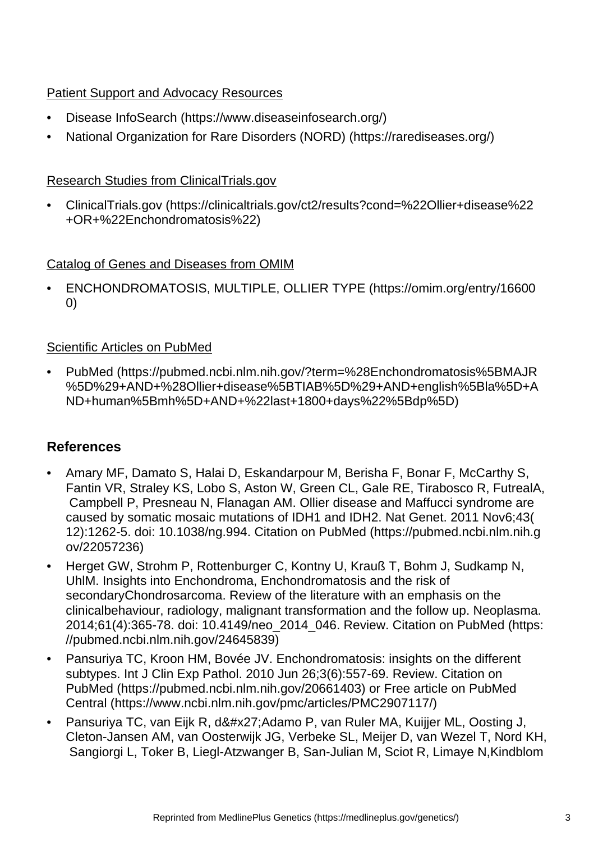## Patient Support and Advocacy Resources

- [Disease InfoSearch](https://www.diseaseinfosearch.org/) (https://www.diseaseinfosearch.org/)
- [National Organization for Rare Disorders \(NORD\)](https://rarediseases.org/) (https://rarediseases.org/)

## Research Studies from ClinicalTrials.gov

• [ClinicalTrials.gov](https://clinicaltrials.gov/ct2/results?cond=%22Ollier+disease%22+OR+%22Enchondromatosis%22) (https://clinicaltrials.gov/ct2/results?cond=%22Ollier+disease%22 +OR+%22Enchondromatosis%22)

## Catalog of Genes and Diseases from OMIM

• [ENCHONDROMATOSIS, MULTIPLE, OLLIER TYPE](https://omim.org/entry/166000) (https://omim.org/entry/16600 0)

## Scientific Articles on PubMed

• [PubMed](https://pubmed.ncbi.nlm.nih.gov/?term=%28Enchondromatosis%5BMAJR%5D%29+AND+%28Ollier+disease%5BTIAB%5D%29+AND+english%5Bla%5D+AND+human%5Bmh%5D+AND+%22last+1800+days%22%5Bdp%5D) (https://pubmed.ncbi.nlm.nih.gov/?term=%28Enchondromatosis%5BMAJR %5D%29+AND+%28Ollier+disease%5BTIAB%5D%29+AND+english%5Bla%5D+A ND+human%5Bmh%5D+AND+%22last+1800+days%22%5Bdp%5D)

# **References**

- Amary MF, Damato S, Halai D, Eskandarpour M, Berisha F, Bonar F, McCarthy S, Fantin VR, Straley KS, Lobo S, Aston W, Green CL, Gale RE, Tirabosco R, FutrealA, Campbell P, Presneau N, Flanagan AM. Ollier disease and Maffucci syndrome are caused by somatic mosaic mutations of IDH1 and IDH2. Nat Genet. 2011 Nov6;43( 12):1262-5. doi: 10.1038/ng.994. [Citation on PubMed](https://pubmed.ncbi.nlm.nih.gov/22057236) (https://pubmed.ncbi.nlm.nih.g ov/22057236)
- Herget GW, Strohm P, Rottenburger C, Kontny U, Krauß T, Bohm J, Sudkamp N, UhlM. Insights into Enchondroma, Enchondromatosis and the risk of secondaryChondrosarcoma. Review of the literature with an emphasis on the clinicalbehaviour, radiology, malignant transformation and the follow up. Neoplasma. 2014;61(4):365-78. doi: 10.4149/neo\_2014\_046. Review. [Citation on PubMed](https://pubmed.ncbi.nlm.nih.gov/24645839) (https: //pubmed.ncbi.nlm.nih.gov/24645839)
- Pansuriya TC, Kroon HM, Bovée JV. Enchondromatosis: insights on the different subtypes. Int J Clin Exp Pathol. 2010 Jun 26;3(6):557-69. Review. [Citation on](https://pubmed.ncbi.nlm.nih.gov/20661403)  [PubMed](https://pubmed.ncbi.nlm.nih.gov/20661403) (https://pubmed.ncbi.nlm.nih.gov/20661403) or [Free article on PubMed](https://www.ncbi.nlm.nih.gov/pmc/articles/PMC2907117/)  [Central](https://www.ncbi.nlm.nih.gov/pmc/articles/PMC2907117/) (https://www.ncbi.nlm.nih.gov/pmc/articles/PMC2907117/)
- Pansuriya TC, van Eijk R, d'Adamo P, van Ruler MA, Kuijjer ML, Oosting J, Cleton-Jansen AM, van Oosterwijk JG, Verbeke SL, Meijer D, van Wezel T, Nord KH, Sangiorgi L, Toker B, Liegl-Atzwanger B, San-Julian M, Sciot R, Limaye N,Kindblom